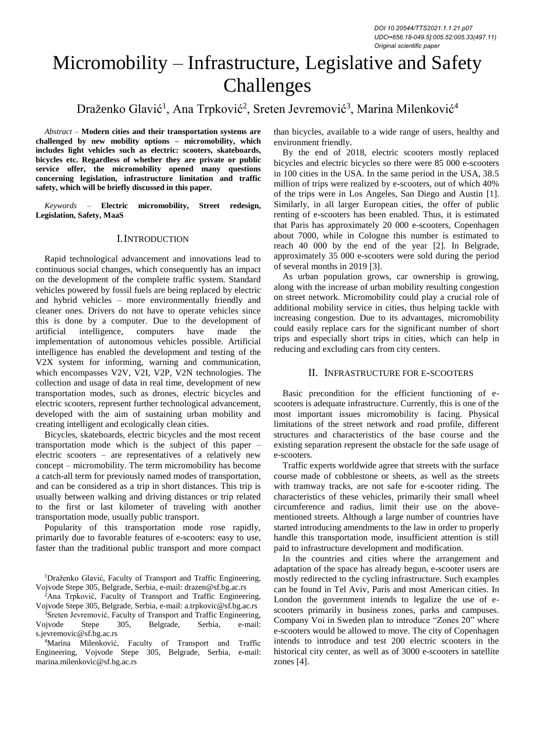*DOI 10.20544/TTS2021.1.1.21.p07 UDC••656.18-049.5]:005.52:005.33(497.11) Original scientific paper*

# Micromobility – Infrastructure, Legislative and Safety Challenges

# Draženko Glavić<sup>1</sup>, Ana Trpković<sup>2</sup>, Sreten Jevremović<sup>3</sup>, Marina Milenković<sup>4</sup>

*Abstract –* **Modern cities and their transportation systems are challenged by new mobility options – micromobility, which includes light vehicles such as electric: scooters, skateboards, bicycles etc. Regardless of whether they are private or public service offer, the micromobility opened many questions concerning legislation, infrastructure limitation and traffic safety, which will be briefly discussed in this paper.**

*Keywords –* **Electric micromobility, Street redesign, Legislation, Safety, MaaS**

#### I.INTRODUCTION

Rapid technological advancement and innovations lead to continuous social changes, which consequently has an impact on the development of the complete traffic system. Standard vehicles powered by fossil fuels are being replaced by electric and hybrid vehicles – more environmentally friendly and cleaner ones. Drivers do not have to operate vehicles since this is done by a computer. Due to the development of artificial intelligence, computers have made the implementation of autonomous vehicles possible. Artificial intelligence has enabled the development and testing of the V2X system for informing, warning and communication, which encompasses V2V, V2I, V2P, V2N technologies. The collection and usage of data in real time, development of new transportation modes, such as drones, electric bicycles and electric scooters, represent further technological advancement, developed with the aim of sustaining urban mobility and creating intelligent and ecologically clean cities.

Bicycles, skateboards, electric bicycles and the most recent transportation mode which is the subject of this paper – electric scooters – are representatives of a relatively new concept – micromobility. The term micromobility has become a catch-all term for previously named modes of transportation, and can be considered as a trip in short distances. This trip is usually between walking and driving distances or trip related to the first or last kilometer of traveling with another transportation mode, usually public transport.

Popularity of this transportation mode rose rapidly, primarily due to favorable features of e-scooters: easy to use, faster than the traditional public transport and more compact

<sup>2</sup>Ana Trpković, Faculty of Transport and Traffic Engineering, Vojvode Stepe 305, Belgrade, Serbia, e-mail: a.trpkovic@sf.bg.ac.rs

<sup>3</sup>Sreten Jevremović, Faculty of Transport and Traffic Engineering, Vojvode Stepe 305, Belgrade, Serbia, e-mail: s.jevremovic@sf.bg.ac.rs

<sup>4</sup>Marina Milenković, Faculty of Transport and Traffic Engineering, Vojvode Stepe 305, Belgrade, Serbia, e-mail: marina.milenkovic@sf.bg.ac.rs

than bicycles, available to a wide range of users, healthy and environment friendly.

By the end of 2018, electric scooters mostly replaced bicycles and electric bicycles so there were 85 000 e-scooters in 100 cities in the USA. In the same period in the USA, 38.5 million of trips were realized by e-scooters, out of which 40% of the trips were in Los Angeles, San Diego and Austin [1]. Similarly, in all larger European cities, the offer of public renting of e-scooters has been enabled. Thus, it is estimated that Paris has approximately 20 000 e-scooters, Copenhagen about 7000, while in Cologne this number is estimated to reach 40 000 by the end of the year [2]. In Belgrade, approximately 35 000 e-scooters were sold during the period of several months in 2019 [3].

As urban population grows, car ownership is growing, along with the increase of urban mobility resulting congestion on street network. Micromobility could play a crucial role of additional mobility service in cities, thus helping tackle with increasing congestion. Due to its advantages, micromobility could easily replace cars for the significant number of short trips and especially short trips in cities, which can help in reducing and excluding cars from city centers.

#### II. INFRASTRUCTURE FOR E-SCOOTERS

Basic precondition for the efficient functioning of escooters is adequate infrastructure. Currently, this is one of the most important issues micromobility is facing. Physical limitations of the street network and road profile, different structures and characteristics of the base course and the existing separation represent the obstacle for the safe usage of e-scooters.

Traffic experts worldwide agree that streets with the surface course made of cobblestone or sheets, as well as the streets with tramway tracks, are not safe for e-scooter riding. The characteristics of these vehicles, primarily their small wheel circumference and radius, limit their use on the abovementioned streets. Although a large number of countries have started introducing amendments to the law in order to properly handle this transportation mode, insufficient attention is still paid to infrastructure development and modification.

In the countries and cities where the arrangement and adaptation of the space has already begun, e-scooter users are mostly redirected to the cycling infrastructure. Such examples can be found in Tel Aviv, Paris and most American cities. In London the government intends to legalize the use of escooters primarily in business zones, parks and campuses. Company Voi in Sweden plan to introduce "Zones 20" where e-scooters would be allowed to move. The city of Copenhagen intends to introduce and test 200 electric scooters in the historical city center, as well as of 3000 e-scooters in satellite zones [4].

<sup>&</sup>lt;sup>1</sup>Draženko Glavić, Faculty of Transport and Traffic Engineering, Vojvode Stepe 305, Belgrade, Serbia, e-mail: drazen@sf.bg.ac.rs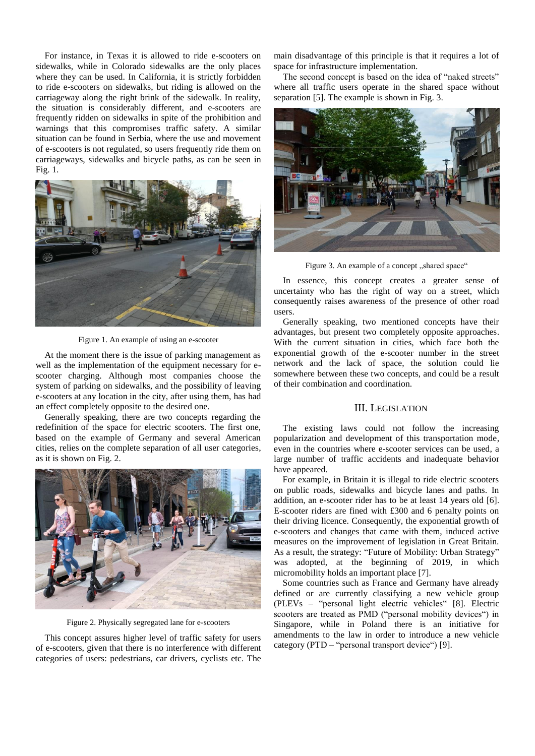For instance, in Texas it is allowed to ride e-scooters on sidewalks, while in Colorado sidewalks are the only places where they can be used. In California, it is strictly forbidden to ride e-scooters on sidewalks, but riding is allowed on the carriageway along the right brink of the sidewalk. In reality, the situation is considerably different, and e-scooters are frequently ridden on sidewalks in spite of the prohibition and warnings that this compromises traffic safety. A similar situation can be found in Serbia, where the use and movement of e-scooters is not regulated, so users frequently ride them on carriageways, sidewalks and bicycle paths, as can be seen in Fig. 1.



Figure 1. An example of using an e-scooter

At the moment there is the issue of parking management as well as the implementation of the equipment necessary for escooter charging. Although most companies choose the system of parking on sidewalks, and the possibility of leaving e-scooters at any location in the city, after using them, has had an effect completely opposite to the desired one.

Generally speaking, there are two concepts regarding the redefinition of the space for electric scooters. The first one, based on the example of Germany and several American cities, relies on the complete separation of all user categories, as it is shown on Fig. 2.



Figure 2. Physically segregated lane for e-scooters

This concept assures higher level of traffic safety for users of e-scooters, given that there is no interference with different categories of users: pedestrians, car drivers, cyclists etc. The

main disadvantage of this principle is that it requires a lot of space for infrastructure implementation.

The second concept is based on the idea of "naked streets" where all traffic users operate in the shared space without separation [5]. The example is shown in Fig. 3.



Figure 3. An example of a concept ..shared space"

In essence, this concept creates a greater sense of uncertainty who has the right of way on a street, which consequently raises awareness of the presence of other road users.

Generally speaking, two mentioned concepts have their advantages, but present two completely opposite approaches. With the current situation in cities, which face both the exponential growth of the e-scooter number in the street network and the lack of space, the solution could lie somewhere between these two concepts, and could be a result of their combination and coordination.

### III. LEGISLATION

The existing laws could not follow the increasing popularization and development of this transportation mode, even in the countries where e-scooter services can be used, a large number of traffic accidents and inadequate behavior have appeared.

For example, in Britain it is illegal to ride electric scooters on public roads, sidewalks and bicycle lanes and paths. In addition, an e-scooter rider has to be at least 14 years old [6]. E-scooter riders are fined with £300 and 6 penalty points on their driving licence. Consequently, the exponential growth of e-scooters and changes that came with them, induced active measures on the improvement of legislation in Great Britain. As a result, the strategy: "Future of Mobility: Urban Strategy" was adopted, at the beginning of 2019, in which micromobility holds an important place [7].

Some countries such as France and Germany have already defined or are currently classifying a new vehicle group (PLEVs – "personal light electric vehicles" [8]. Electric scooters are treated as PMD ("personal mobility devices") in Singapore, while in Poland there is an initiative for amendments to the law in order to introduce a new vehicle category (PTD – "personal transport device") [9].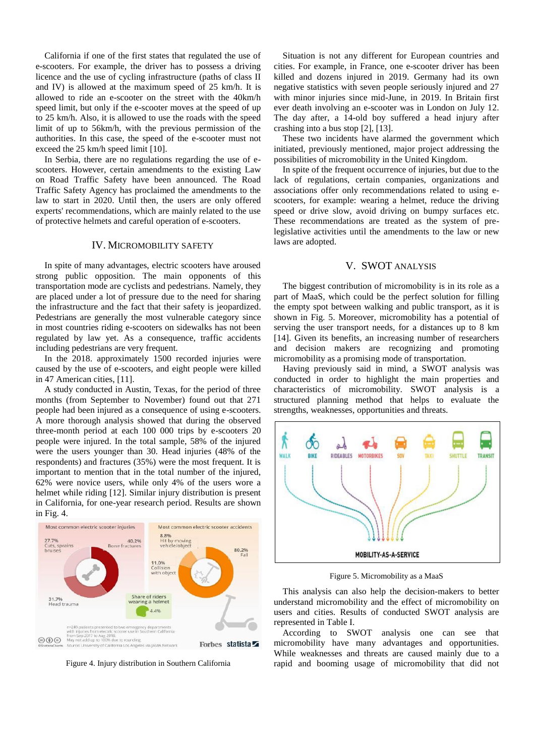California if one of the first states that regulated the use of e-scooters. For example, the driver has to possess a driving licence and the use of cycling infrastructure (paths of class II and IV) is allowed at the maximum speed of 25 km/h. It is allowed to ride an e-scooter on the street with the 40km/h speed limit, but only if the e-scooter moves at the speed of up to 25 km/h. Also, it is allowed to use the roads with the speed limit of up to 56km/h, with the previous permission of the authorities. In this case, the speed of the e-scooter must not exceed the 25 km/h speed limit [10].

In Serbia, there are no regulations regarding the use of escooters. However, certain amendments to the existing Law on Road Traffic Safety have been announced. The Road Traffic Safety Agency has proclaimed the amendments to the law to start in 2020. Until then, the users are only offered experts' recommendations, which are mainly related to the use of protective helmets and careful operation of e-scooters.

#### IV. MICROMOBILITY SAFETY

In spite of many advantages, electric scooters have aroused strong public opposition. The main opponents of this transportation mode are cyclists and pedestrians. Namely, they are placed under a lot of pressure due to the need for sharing the infrastructure and the fact that their safety is jeopardized. Pedestrians are generally the most vulnerable category since in most countries riding e-scooters on sidewalks has not been regulated by law yet. As a consequence, traffic accidents including pedestrians are very frequent.

In the 2018. approximately 1500 recorded injuries were caused by the use of e-scooters, and eight people were killed in 47 American cities, [11].

A study conducted in Austin, Texas, for the period of three months (from September to November) found out that 271 people had been injured as a consequence of using e-scooters. A more thorough analysis showed that during the observed three-month period at each 100 000 trips by e-scooters 20 people were injured. In the total sample, 58% of the injured were the users younger than 30. Head injuries (48% of the respondents) and fractures (35%) were the most frequent. It is important to mention that in the total number of the injured, 62% were novice users, while only 4% of the users wore a helmet while riding [12]. Similar injury distribution is present in California, for one-year research period. Results are shown in Fig. 4.



Figure 4. Injury distribution in Southern California

Situation is not any different for European countries and cities. For example, in France, one e-scooter driver has been killed and dozens injured in 2019. Germany had its own negative statistics with seven people seriously injured and 27 with minor injuries since mid-June, in 2019. In Britain first ever death involving an e-scooter was in London on July 12. The day after, a 14-old boy suffered a head injury after crashing into a bus stop [2], [13].

These two incidents have alarmed the government which initiated, previously mentioned, major project addressing the possibilities of micromobility in the United Kingdom.

In spite of the frequent occurrence of injuries, but due to the lack of regulations, certain companies, organizations and associations offer only recommendations related to using escooters, for example: wearing a helmet, reduce the driving speed or drive slow, avoid driving on bumpy surfaces etc. These recommendations are treated as the system of prelegislative activities until the amendments to the law or new laws are adopted.

## V. SWOT ANALYSIS

The biggest contribution of micromobility is in its role as a part of MaaS, which could be the perfect solution for filling the empty spot between walking and public transport, as it is shown in Fig. 5. Moreover, micromobility has a potential of serving the user transport needs, for a distances up to 8 km [14]. Given its benefits, an increasing number of researchers and decision makers are recognizing and promoting micromobility as a promising mode of transportation.

Having previously said in mind, a SWOT analysis was conducted in order to highlight the main properties and characteristics of micromobility. SWOT analysis is a structured planning method that helps to evaluate the strengths, weaknesses, opportunities and threats.



Figure 5. Micromobility as a MaaS

This analysis can also help the decision-makers to better understand micromobility and the effect of micromobility on users and cities. Results of conducted SWOT analysis are represented in Table I.

According to SWOT analysis one can see that micromobility have many advantages and opportunities. While weaknesses and threats are caused mainly due to a rapid and booming usage of micromobility that did not